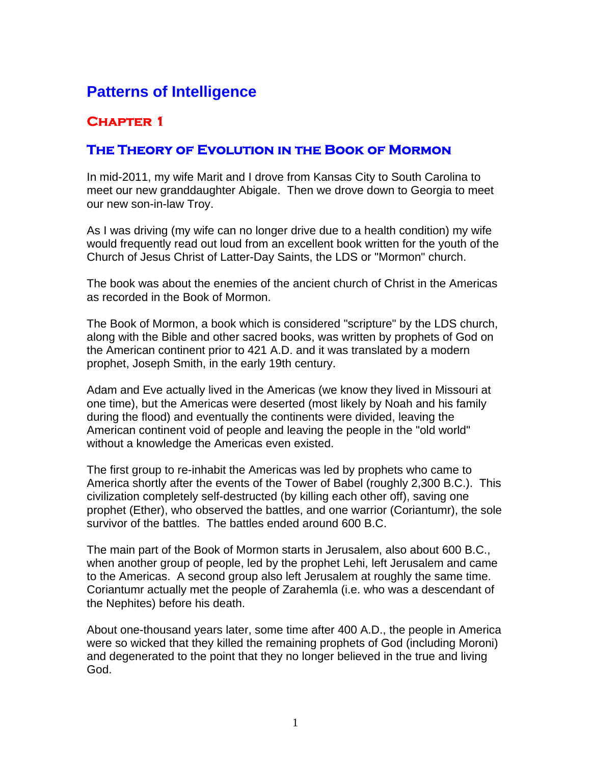# **Patterns of Intelligence**

## **Chapter 1**

### **The Theory of Evolution in the Book of Mormon**

In mid-2011, my wife Marit and I drove from Kansas City to South Carolina to meet our new granddaughter Abigale. Then we drove down to Georgia to meet our new son-in-law Troy.

As I was driving (my wife can no longer drive due to a health condition) my wife would frequently read out loud from an excellent book written for the youth of the Church of Jesus Christ of Latter-Day Saints, the LDS or "Mormon" church.

The book was about the enemies of the ancient church of Christ in the Americas as recorded in the Book of Mormon.

The Book of Mormon, a book which is considered "scripture" by the LDS church, along with the Bible and other sacred books, was written by prophets of God on the American continent prior to 421 A.D. and it was translated by a modern prophet, Joseph Smith, in the early 19th century.

Adam and Eve actually lived in the Americas (we know they lived in Missouri at one time), but the Americas were deserted (most likely by Noah and his family during the flood) and eventually the continents were divided, leaving the American continent void of people and leaving the people in the "old world" without a knowledge the Americas even existed.

The first group to re-inhabit the Americas was led by prophets who came to America shortly after the events of the Tower of Babel (roughly 2,300 B.C.). This civilization completely self-destructed (by killing each other off), saving one prophet (Ether), who observed the battles, and one warrior (Coriantumr), the sole survivor of the battles. The battles ended around 600 B.C.

The main part of the Book of Mormon starts in Jerusalem, also about 600 B.C., when another group of people, led by the prophet Lehi, left Jerusalem and came to the Americas. A second group also left Jerusalem at roughly the same time. Coriantumr actually met the people of Zarahemla (i.e. who was a descendant of the Nephites) before his death.

About one-thousand years later, some time after 400 A.D., the people in America were so wicked that they killed the remaining prophets of God (including Moroni) and degenerated to the point that they no longer believed in the true and living God.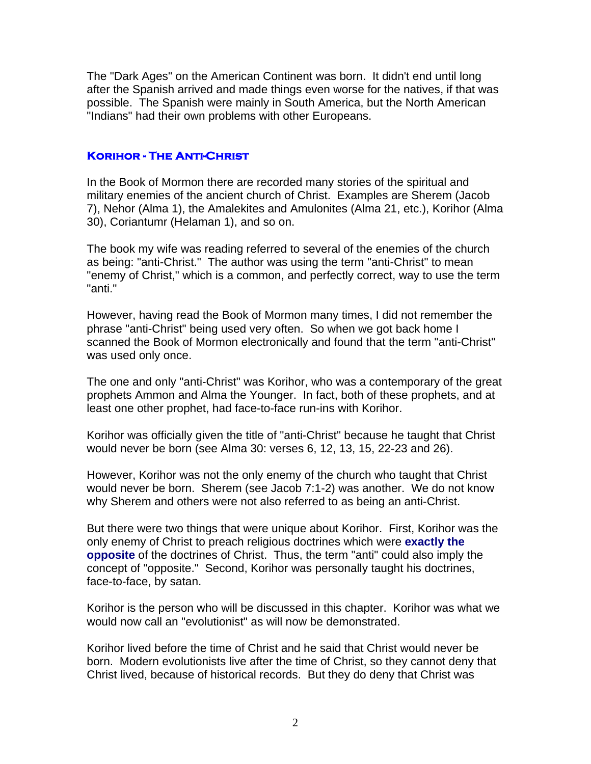The "Dark Ages" on the American Continent was born. It didn't end until long after the Spanish arrived and made things even worse for the natives, if that was possible. The Spanish were mainly in South America, but the North American "Indians" had their own problems with other Europeans.

#### **Korihor - The Anti-Christ**

In the Book of Mormon there are recorded many stories of the spiritual and military enemies of the ancient church of Christ. Examples are Sherem (Jacob 7), Nehor (Alma 1), the Amalekites and Amulonites (Alma 21, etc.), Korihor (Alma 30), Coriantumr (Helaman 1), and so on.

The book my wife was reading referred to several of the enemies of the church as being: "anti-Christ." The author was using the term "anti-Christ" to mean "enemy of Christ," which is a common, and perfectly correct, way to use the term "anti."

However, having read the Book of Mormon many times, I did not remember the phrase "anti-Christ" being used very often. So when we got back home I scanned the Book of Mormon electronically and found that the term "anti-Christ" was used only once.

The one and only "anti-Christ" was Korihor, who was a contemporary of the great prophets Ammon and Alma the Younger. In fact, both of these prophets, and at least one other prophet, had face-to-face run-ins with Korihor.

Korihor was officially given the title of "anti-Christ" because he taught that Christ would never be born (see Alma 30: verses 6, 12, 13, 15, 22-23 and 26).

However, Korihor was not the only enemy of the church who taught that Christ would never be born. Sherem (see Jacob 7:1-2) was another. We do not know why Sherem and others were not also referred to as being an anti-Christ.

But there were two things that were unique about Korihor. First, Korihor was the only enemy of Christ to preach religious doctrines which were **exactly the opposite** of the doctrines of Christ. Thus, the term "anti" could also imply the concept of "opposite." Second, Korihor was personally taught his doctrines, face-to-face, by satan.

Korihor is the person who will be discussed in this chapter. Korihor was what we would now call an "evolutionist" as will now be demonstrated.

Korihor lived before the time of Christ and he said that Christ would never be born. Modern evolutionists live after the time of Christ, so they cannot deny that Christ lived, because of historical records. But they do deny that Christ was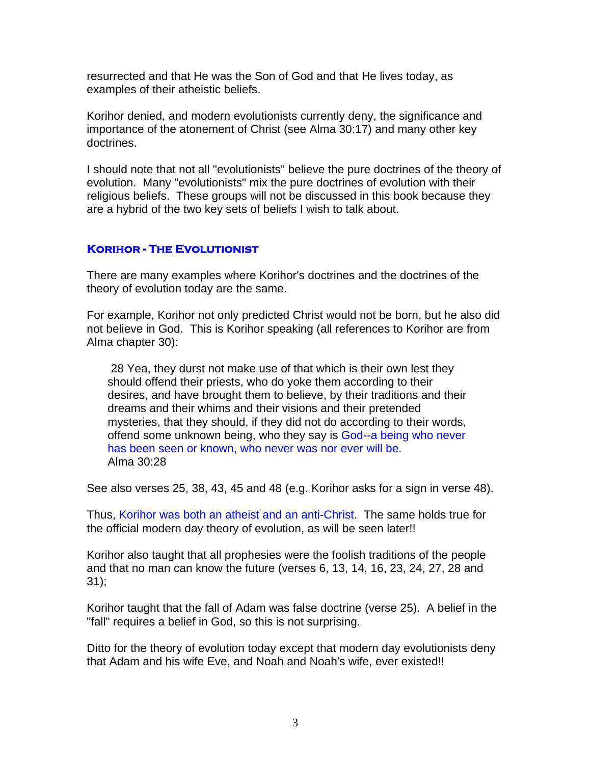resurrected and that He was the Son of God and that He lives today, as examples of their atheistic beliefs.

Korihor denied, and modern evolutionists currently deny, the significance and importance of the atonement of Christ (see Alma 30:17) and many other key doctrines.

I should note that not all "evolutionists" believe the pure doctrines of the theory of evolution. Many "evolutionists" mix the pure doctrines of evolution with their religious beliefs. These groups will not be discussed in this book because they are a hybrid of the two key sets of beliefs I wish to talk about.

#### **Korihor - The Evolutionist**

There are many examples where Korihor's doctrines and the doctrines of the theory of evolution today are the same.

For example, Korihor not only predicted Christ would not be born, but he also did not believe in God. This is Korihor speaking (all references to Korihor are from Alma chapter 30):

 28 Yea, they durst not make use of that which is their own lest they should offend their priests, who do yoke them according to their desires, and have brought them to believe, by their traditions and their dreams and their whims and their visions and their pretended mysteries, that they should, if they did not do according to their words, offend some unknown being, who they say is God--a being who never has been seen or known, who never was nor ever will be. Alma 30:28

See also verses 25, 38, 43, 45 and 48 (e.g. Korihor asks for a sign in verse 48).

Thus, Korihor was both an atheist and an anti-Christ. The same holds true for the official modern day theory of evolution, as will be seen later!!

Korihor also taught that all prophesies were the foolish traditions of the people and that no man can know the future (verses 6, 13, 14, 16, 23, 24, 27, 28 and 31);

Korihor taught that the fall of Adam was false doctrine (verse 25). A belief in the "fall" requires a belief in God, so this is not surprising.

Ditto for the theory of evolution today except that modern day evolutionists deny that Adam and his wife Eve, and Noah and Noah's wife, ever existed!!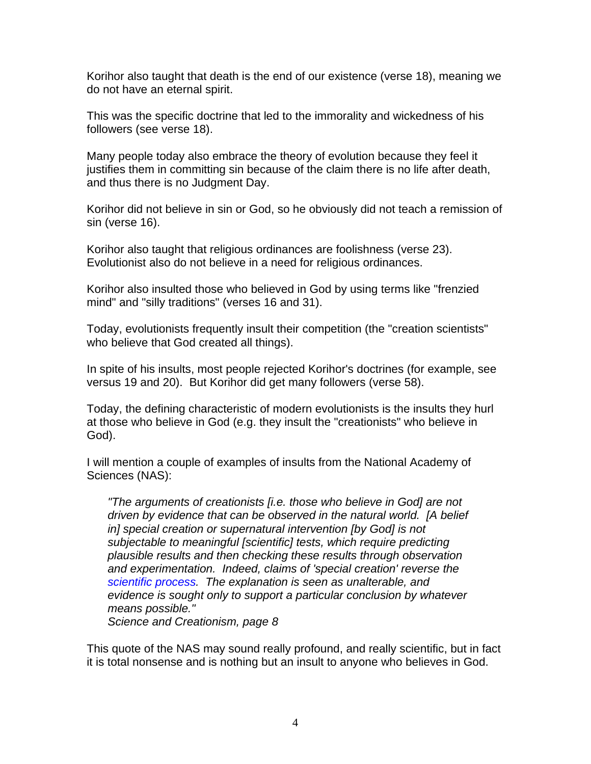Korihor also taught that death is the end of our existence (verse 18), meaning we do not have an eternal spirit.

This was the specific doctrine that led to the immorality and wickedness of his followers (see verse 18).

Many people today also embrace the theory of evolution because they feel it justifies them in committing sin because of the claim there is no life after death, and thus there is no Judgment Day.

Korihor did not believe in sin or God, so he obviously did not teach a remission of sin (verse 16).

Korihor also taught that religious ordinances are foolishness (verse 23). Evolutionist also do not believe in a need for religious ordinances.

Korihor also insulted those who believed in God by using terms like "frenzied mind" and "silly traditions" (verses 16 and 31).

Today, evolutionists frequently insult their competition (the "creation scientists" who believe that God created all things).

In spite of his insults, most people rejected Korihor's doctrines (for example, see versus 19 and 20). But Korihor did get many followers (verse 58).

Today, the defining characteristic of modern evolutionists is the insults they hurl at those who believe in God (e.g. they insult the "creationists" who believe in God).

I will mention a couple of examples of insults from the National Academy of Sciences (NAS):

*"The arguments of creationists [i.e. those who believe in God] are not driven by evidence that can be observed in the natural world. [A belief in] special creation or supernatural intervention [by God] is not subjectable to meaningful [scientific] tests, which require predicting plausible results and then checking these results through observation and experimentation. Indeed, claims of 'special creation' reverse the scientific process. The explanation is seen as unalterable, and evidence is sought only to support a particular conclusion by whatever means possible."* 

*Science and Creationism, page 8* 

This quote of the NAS may sound really profound, and really scientific, but in fact it is total nonsense and is nothing but an insult to anyone who believes in God.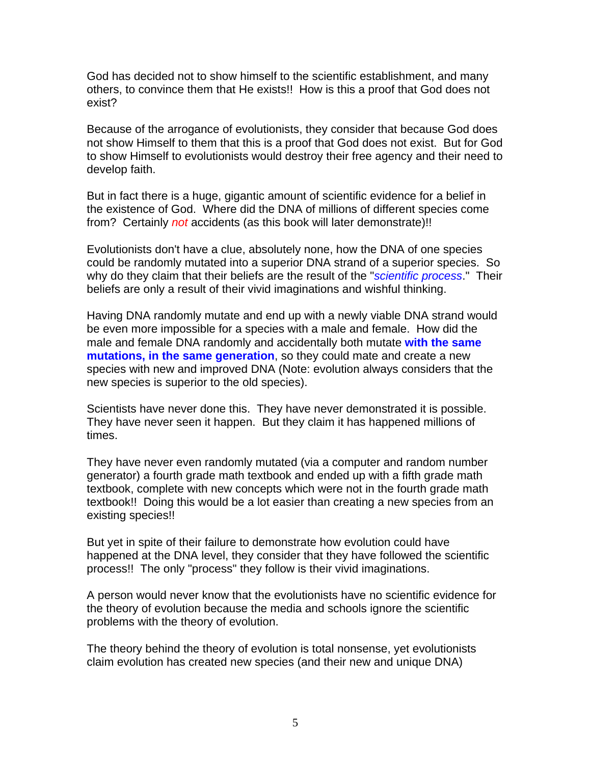God has decided not to show himself to the scientific establishment, and many others, to convince them that He exists!! How is this a proof that God does not exist?

Because of the arrogance of evolutionists, they consider that because God does not show Himself to them that this is a proof that God does not exist. But for God to show Himself to evolutionists would destroy their free agency and their need to develop faith.

But in fact there is a huge, gigantic amount of scientific evidence for a belief in the existence of God. Where did the DNA of millions of different species come from? Certainly *not* accidents (as this book will later demonstrate)!!

Evolutionists don't have a clue, absolutely none, how the DNA of one species could be randomly mutated into a superior DNA strand of a superior species. So why do they claim that their beliefs are the result of the "*scientific process*." Their beliefs are only a result of their vivid imaginations and wishful thinking.

Having DNA randomly mutate and end up with a newly viable DNA strand would be even more impossible for a species with a male and female. How did the male and female DNA randomly and accidentally both mutate **with the same mutations, in the same generation**, so they could mate and create a new species with new and improved DNA (Note: evolution always considers that the new species is superior to the old species).

Scientists have never done this. They have never demonstrated it is possible. They have never seen it happen. But they claim it has happened millions of times.

They have never even randomly mutated (via a computer and random number generator) a fourth grade math textbook and ended up with a fifth grade math textbook, complete with new concepts which were not in the fourth grade math textbook!! Doing this would be a lot easier than creating a new species from an existing species!!

But yet in spite of their failure to demonstrate how evolution could have happened at the DNA level, they consider that they have followed the scientific process!! The only "process" they follow is their vivid imaginations.

A person would never know that the evolutionists have no scientific evidence for the theory of evolution because the media and schools ignore the scientific problems with the theory of evolution.

The theory behind the theory of evolution is total nonsense, yet evolutionists claim evolution has created new species (and their new and unique DNA)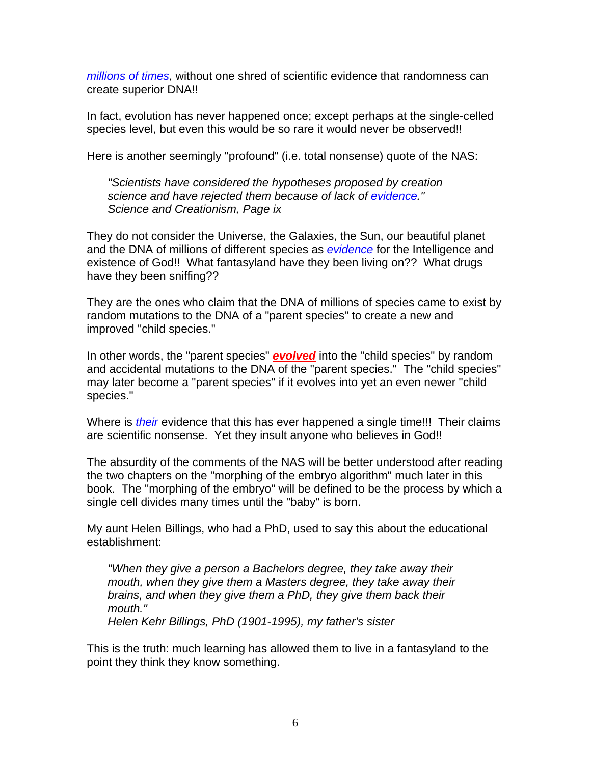*millions of times*, without one shred of scientific evidence that randomness can create superior DNA!!

In fact, evolution has never happened once; except perhaps at the single-celled species level, but even this would be so rare it would never be observed!!

Here is another seemingly "profound" (i.e. total nonsense) quote of the NAS:

*"Scientists have considered the hypotheses proposed by creation science and have rejected them because of lack of evidence." Science and Creationism, Page ix* 

They do not consider the Universe, the Galaxies, the Sun, our beautiful planet and the DNA of millions of different species as *evidence* for the Intelligence and existence of God!! What fantasyland have they been living on?? What drugs have they been sniffing??

They are the ones who claim that the DNA of millions of species came to exist by random mutations to the DNA of a "parent species" to create a new and improved "child species."

In other words, the "parent species" *evolved* into the "child species" by random and accidental mutations to the DNA of the "parent species." The "child species" may later become a "parent species" if it evolves into yet an even newer "child species."

Where is *their* evidence that this has ever happened a single time!!! Their claims are scientific nonsense. Yet they insult anyone who believes in God!!

The absurdity of the comments of the NAS will be better understood after reading the two chapters on the "morphing of the embryo algorithm" much later in this book. The "morphing of the embryo" will be defined to be the process by which a single cell divides many times until the "baby" is born.

My aunt Helen Billings, who had a PhD, used to say this about the educational establishment:

*"When they give a person a Bachelors degree, they take away their mouth, when they give them a Masters degree, they take away their brains, and when they give them a PhD, they give them back their mouth." Helen Kehr Billings, PhD (1901-1995), my father's sister* 

This is the truth: much learning has allowed them to live in a fantasyland to the point they think they know something.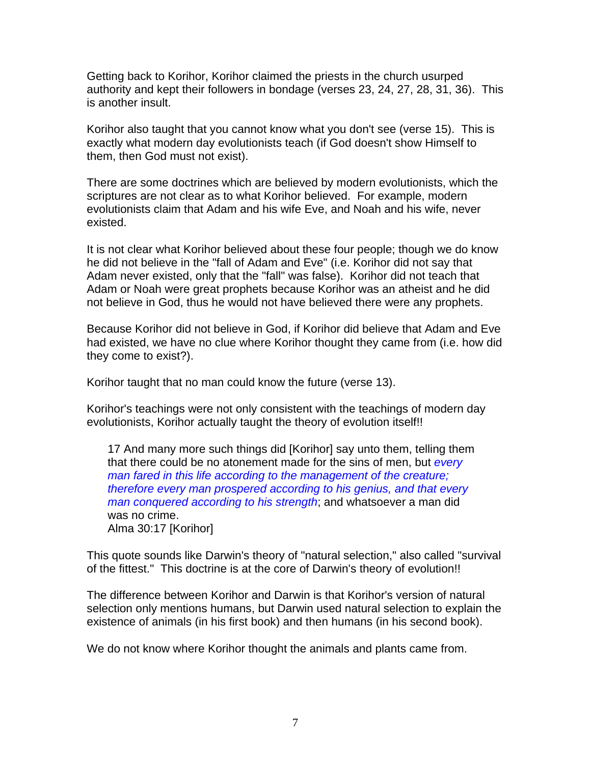Getting back to Korihor, Korihor claimed the priests in the church usurped authority and kept their followers in bondage (verses 23, 24, 27, 28, 31, 36). This is another insult.

Korihor also taught that you cannot know what you don't see (verse 15). This is exactly what modern day evolutionists teach (if God doesn't show Himself to them, then God must not exist).

There are some doctrines which are believed by modern evolutionists, which the scriptures are not clear as to what Korihor believed. For example, modern evolutionists claim that Adam and his wife Eve, and Noah and his wife, never existed.

It is not clear what Korihor believed about these four people; though we do know he did not believe in the "fall of Adam and Eve" (i.e. Korihor did not say that Adam never existed, only that the "fall" was false). Korihor did not teach that Adam or Noah were great prophets because Korihor was an atheist and he did not believe in God, thus he would not have believed there were any prophets.

Because Korihor did not believe in God, if Korihor did believe that Adam and Eve had existed, we have no clue where Korihor thought they came from (i.e. how did they come to exist?).

Korihor taught that no man could know the future (verse 13).

Korihor's teachings were not only consistent with the teachings of modern day evolutionists, Korihor actually taught the theory of evolution itself!!

17 And many more such things did [Korihor] say unto them, telling them that there could be no atonement made for the sins of men, but *every man fared in this life according to the management of the creature; therefore every man prospered according to his genius, and that every man conquered according to his strength*; and whatsoever a man did was no crime. Alma 30:17 [Korihor]

This quote sounds like Darwin's theory of "natural selection," also called "survival of the fittest." This doctrine is at the core of Darwin's theory of evolution!!

The difference between Korihor and Darwin is that Korihor's version of natural selection only mentions humans, but Darwin used natural selection to explain the existence of animals (in his first book) and then humans (in his second book).

We do not know where Korihor thought the animals and plants came from.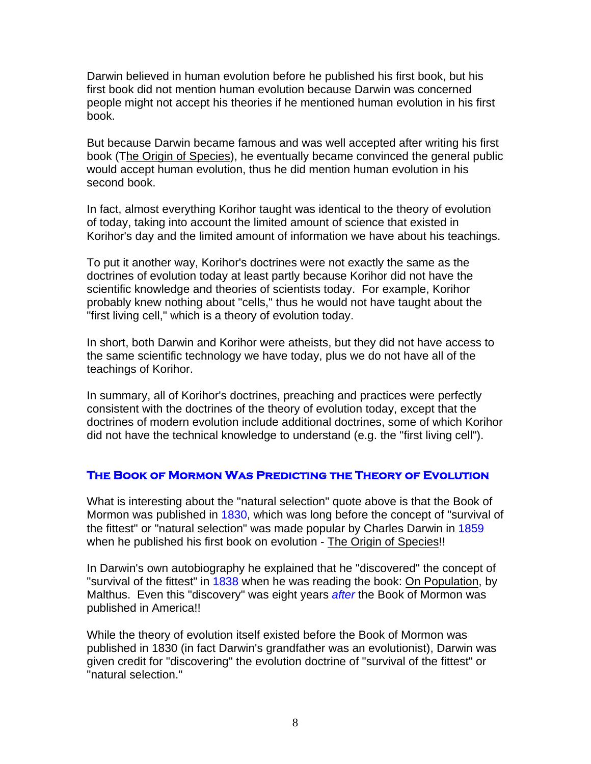Darwin believed in human evolution before he published his first book, but his first book did not mention human evolution because Darwin was concerned people might not accept his theories if he mentioned human evolution in his first book.

But because Darwin became famous and was well accepted after writing his first book (The Origin of Species), he eventually became convinced the general public would accept human evolution, thus he did mention human evolution in his second book.

In fact, almost everything Korihor taught was identical to the theory of evolution of today, taking into account the limited amount of science that existed in Korihor's day and the limited amount of information we have about his teachings.

To put it another way, Korihor's doctrines were not exactly the same as the doctrines of evolution today at least partly because Korihor did not have the scientific knowledge and theories of scientists today. For example, Korihor probably knew nothing about "cells," thus he would not have taught about the "first living cell," which is a theory of evolution today.

In short, both Darwin and Korihor were atheists, but they did not have access to the same scientific technology we have today, plus we do not have all of the teachings of Korihor.

In summary, all of Korihor's doctrines, preaching and practices were perfectly consistent with the doctrines of the theory of evolution today, except that the doctrines of modern evolution include additional doctrines, some of which Korihor did not have the technical knowledge to understand (e.g. the "first living cell").

#### **The Book of Mormon Was Predicting the Theory of Evolution**

What is interesting about the "natural selection" quote above is that the Book of Mormon was published in 1830, which was long before the concept of "survival of the fittest" or "natural selection" was made popular by Charles Darwin in 1859 when he published his first book on evolution - The Origin of Species!!

In Darwin's own autobiography he explained that he "discovered" the concept of "survival of the fittest" in 1838 when he was reading the book: On Population, by Malthus. Even this "discovery" was eight years *after* the Book of Mormon was published in America!!

While the theory of evolution itself existed before the Book of Mormon was published in 1830 (in fact Darwin's grandfather was an evolutionist), Darwin was given credit for "discovering" the evolution doctrine of "survival of the fittest" or "natural selection."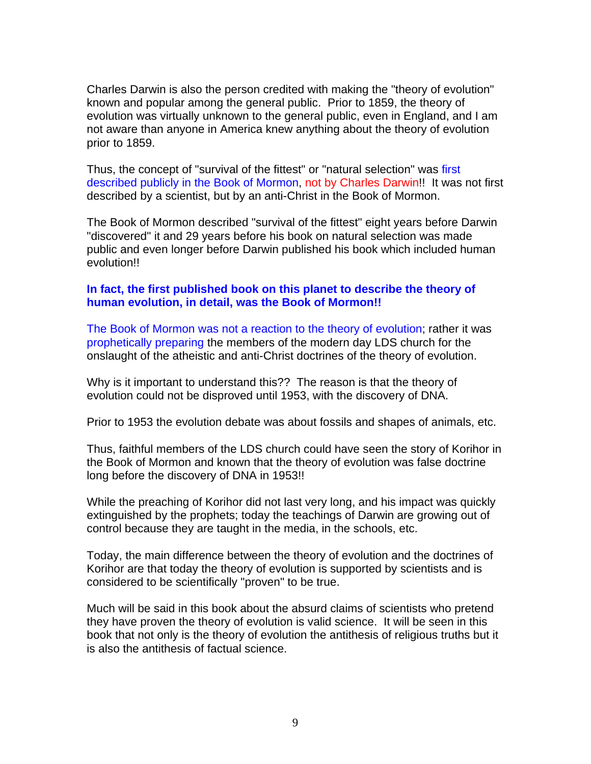Charles Darwin is also the person credited with making the "theory of evolution" known and popular among the general public. Prior to 1859, the theory of evolution was virtually unknown to the general public, even in England, and I am not aware than anyone in America knew anything about the theory of evolution prior to 1859.

Thus, the concept of "survival of the fittest" or "natural selection" was first described publicly in the Book of Mormon, not by Charles Darwin!! It was not first described by a scientist, but by an anti-Christ in the Book of Mormon.

The Book of Mormon described "survival of the fittest" eight years before Darwin "discovered" it and 29 years before his book on natural selection was made public and even longer before Darwin published his book which included human evolution!!

#### **In fact, the first published book on this planet to describe the theory of human evolution, in detail, was the Book of Mormon!!**

The Book of Mormon was not a reaction to the theory of evolution; rather it was prophetically preparing the members of the modern day LDS church for the onslaught of the atheistic and anti-Christ doctrines of the theory of evolution.

Why is it important to understand this?? The reason is that the theory of evolution could not be disproved until 1953, with the discovery of DNA.

Prior to 1953 the evolution debate was about fossils and shapes of animals, etc.

Thus, faithful members of the LDS church could have seen the story of Korihor in the Book of Mormon and known that the theory of evolution was false doctrine long before the discovery of DNA in 1953!!

While the preaching of Korihor did not last very long, and his impact was quickly extinguished by the prophets; today the teachings of Darwin are growing out of control because they are taught in the media, in the schools, etc.

Today, the main difference between the theory of evolution and the doctrines of Korihor are that today the theory of evolution is supported by scientists and is considered to be scientifically "proven" to be true.

Much will be said in this book about the absurd claims of scientists who pretend they have proven the theory of evolution is valid science. It will be seen in this book that not only is the theory of evolution the antithesis of religious truths but it is also the antithesis of factual science.